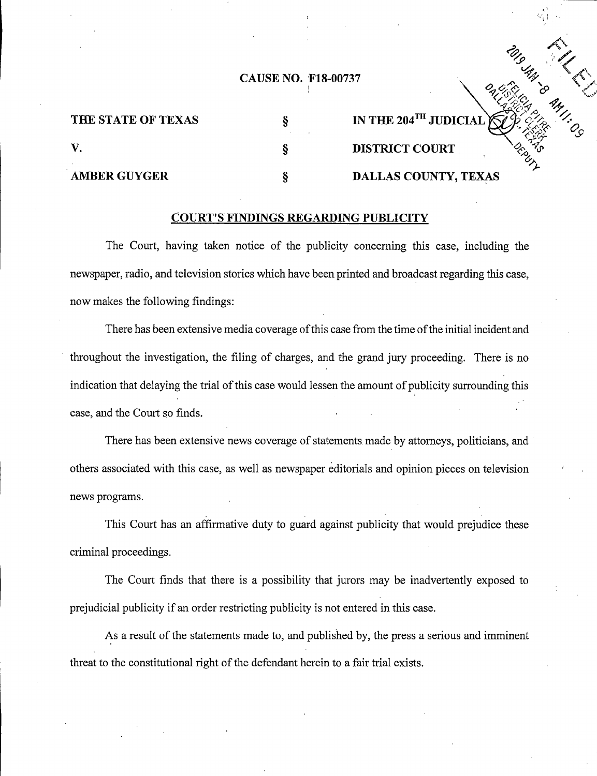## CAUSE NO. F18-00737 F18-00737

 $\partial_{\!\mathscr{C}}$ 

| THE STATE OF TEXAS  | IN THE 204 <sup>TH</sup> JUDICIAL |
|---------------------|-----------------------------------|
|                     | <b>DISTRICT COURT</b>             |
| <b>AMBER GUYGER</b> | DALLAS COUNTY, TEXAS              |

## **COURT'S FINDINGS REGARDING PUBLICITY**

The Court, having taken notice of the publicity concerning this case, including the newspaper, radio, and television stories which have been printed and broadcast regarding this case, now makes the following findings:

There has been extensive media coverage of this case from the time of the initial incident and throughout the investigation, the filing of charges, and the grand jury proceeding. There is no indication that delaying the trial of this case would lessen the amount of publicity surrounding this case, and the Court so finds.

There has been extensive news coverage of statements made by attorneys, politicians, and others associated with this case, as well as newspaper editorials and opinion pieces on television news programs.

This Court has an affirmative duty to guard against publicity that would prejudice these criminal proceedings.

The Court finds that there is a possibility that jurors may be inadvertently exposed to prejudicial publicity if an order restricting publicity is not entered in this case.

As a result of the statements made to, and published by, the press a serious and imminent threat to the constitutional right of the defendant herein to a fair trial exists.